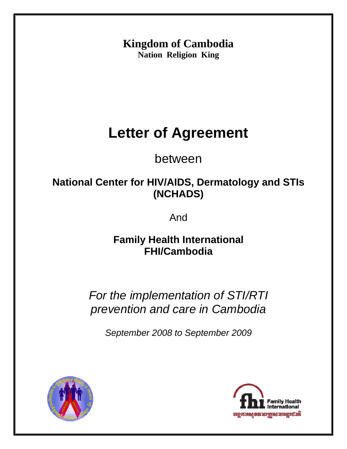**Kingdom of Cambodia Nation Religion King** 

# **Letter of Agreement**

between

# **National Center for HIV/AIDS, Dermatology and STIs (NCHADS)**

And

**Family Health International FHI/Cambodia** 

*For the implementation of STI/RTI prevention and care in Cambodia* 

*September 2008 to September 2009*



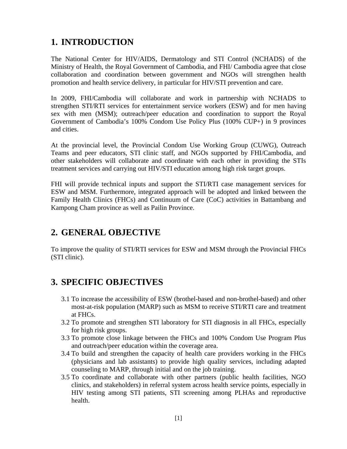# **1. INTRODUCTION**

The National Center for HIV/AIDS, Dermatology and STI Control (NCHADS) of the Ministry of Health, the Royal Government of Cambodia, and FHI/ Cambodia agree that close collaboration and coordination between government and NGOs will strengthen health promotion and health service delivery, in particular for HIV/STI prevention and care.

In 2009, FHI/Cambodia will collaborate and work in partnership with NCHADS to strengthen STI/RTI services for entertainment service workers (ESW) and for men having sex with men (MSM); outreach/peer education and coordination to support the Royal Government of Cambodia's 100% Condom Use Policy Plus (100% CUP+) in 9 provinces and cities.

At the provincial level, the Provincial Condom Use Working Group (CUWG), Outreach Teams and peer educators, STI clinic staff, and NGOs supported by FHI/Cambodia, and other stakeholders will collaborate and coordinate with each other in providing the STIs treatment services and carrying out HIV/STI education among high risk target groups.

FHI will provide technical inputs and support the STI/RTI case management services for ESW and MSM. Furthermore, integrated approach will be adopted and linked between the Family Health Clinics (FHCs) and Continuum of Care (CoC) activities in Battambang and Kampong Cham province as well as Pailin Province.

#### **2. GENERAL OBJECTIVE**

To improve the quality of STI/RTI services for ESW and MSM through the Provincial FHCs (STI clinic).

## **3. SPECIFIC OBJECTIVES**

- 3.1 To increase the accessibility of ESW (brothel-based and non-brothel-based) and other most-at-risk population (MARP) such as MSM to receive STI/RTI care and treatment at FHCs.
- 3.2 To promote and strengthen STI laboratory for STI diagnosis in all FHCs, especially for high risk groups.
- 3.3 To promote close linkage between the FHCs and 100% Condom Use Program Plus and outreach/peer education within the coverage area.
- 3.4 To build and strengthen the capacity of health care providers working in the FHCs (physicians and lab assistants) to provide high quality services, including adapted counseling to MARP, through initial and on the job training.
- 3.5 To coordinate and collaborate with other partners (public health facilities, NGO clinics, and stakeholders) in referral system across health service points, especially in HIV testing among STI patients, STI screening among PLHAs and reproductive health.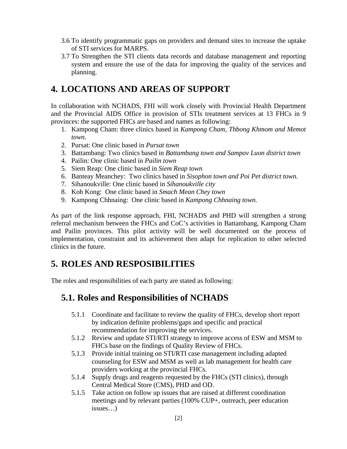- 3.6 To identify programmatic gaps on providers and demand sites to increase the uptake of STI services for MARPS.
- 3.7 To Strengthen the STI clients data records and database management and reporting system and ensure the use of the data for improving the quality of the services and planning.

## **4. LOCATIONS AND AREAS OF SUPPORT**

In collaboration with NCHADS, FHI will work closely with Provincial Health Department and the Provincial AIDS Office in provision of STIs treatment services at 13 FHCs in 9 provinces: the supported FHCs are based and names as following:

- 1. Kampong Cham: three clinics based in *Kampong Cham, Thbong Khmom and Memot town*.
- 2. Pursat: One clinic based in *Pursat town*
- 3. Battambang: Two clinics based in *Battambang town and Sampov Luon district town*
- 4. Pailin: One clinic based in *Pailin town*
- 5. Siem Reap: One clinic based in *Siem Reap town*
- 6. Banteay Meanchey: Two clinics based in *Sisophon town and Poi Pet district town*.
- 7. Sihanoukville: One clinic based in *Sihanoukville city*
- 8. Koh Kong: One clinic based in *Smach Mean Chey town*
- 9. Kampong Chhnaing: One clinic based in *Kampong Chhnaing town.*

As part of the link response approach, FHI, NCHADS and PHD will strengthen a strong referral mechanism between the FHCs and CoC's activities in Battambang, Kampong Cham and Pailin provinces. This pilot activity will be well documented on the process of implementation, constraint and its achievement then adapt for replication to other selected clinics in the future.

# **5. ROLES AND RESPOSIBILITIES**

The roles and responsibilities of each party are stated as following:

# **5.1. Roles and Responsibilities of NCHADS**

- 5.1.1 Coordinate and facilitate to review the quality of FHCs, develop short report by indication definite problems/gaps and specific and practical recommendation for improving the services.
- 5.1.2 Review and update STI/RTI strategy to improve access of ESW and MSM to FHCs base on the findings of Quality Review of FHCs.
- 5.1.3 Provide initial training on STI/RTI case management including adapted counseling for ESW and MSM as well as lab management for health care providers working at the provincial FHCs.
- 5.1.4 Supply drugs and reagents requested by the FHCs (STI clinics), through Central Medical Store (CMS), PHD and OD.
- 5.1.5 Take action on follow up issues that are raised at different coordination meetings and by relevant parties (100% CUP+, outreach, peer education issues…)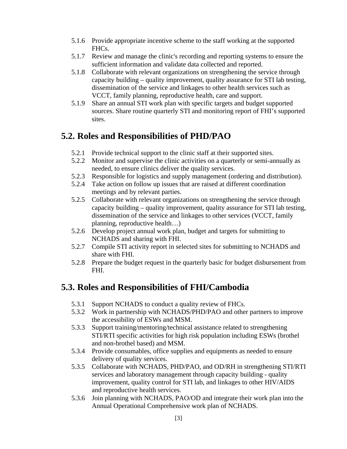- 5.1.6 Provide appropriate incentive scheme to the staff working at the supported FHCs.
- 5.1.7 Review and manage the clinic's recording and reporting systems to ensure the sufficient information and validate data collected and reported.
- 5.1.8 Collaborate with relevant organizations on strengthening the service through capacity building – quality improvement, quality assurance for STI lab testing, dissemination of the service and linkages to other health services such as VCCT, family planning, reproductive health, care and support.
- 5.1.9 Share an annual STI work plan with specific targets and budget supported sources. Share routine quarterly STI and monitoring report of FHI's supported sites.

## **5.2. Roles and Responsibilities of PHD/PAO**

- 5.2.1 Provide technical support to the clinic staff at their supported sites.
- 5.2.2 Monitor and supervise the clinic activities on a quarterly or semi-annually as needed, to ensure clinics deliver the quality services.
- 5.2.3 Responsible for logistics and supply management (ordering and distribution).
- 5.2.4 Take action on follow up issues that are raised at different coordination meetings and by relevant parties.
- 5.2.5 Collaborate with relevant organizations on strengthening the service through capacity building – quality improvement, quality assurance for STI lab testing, dissemination of the service and linkages to other services (VCCT, family planning, reproductive health…)
- 5.2.6 Develop project annual work plan, budget and targets for submitting to NCHADS and sharing with FHI.
- 5.2.7 Compile STI activity report in selected sites for submitting to NCHADS and share with FHI.
- 5.2.8 Prepare the budget request in the quarterly basic for budget disbursement from FHI.

# **5.3. Roles and Responsibilities of FHI/Cambodia**

- 5.3.1 Support NCHADS to conduct a quality review of FHCs.
- 5.3.2 Work in partnership with NCHADS/PHD/PAO and other partners to improve the accessibility of ESWs and MSM.
- 5.3.3 Support training/mentoring/technical assistance related to strengthening STI/RTI specific activities for high risk population including ESWs (brothel and non-brothel based) and MSM.
- 5.3.4 Provide consumables, office supplies and equipments as needed to ensure delivery of quality services.
- 5.3.5 Collaborate with NCHADS, PHD/PAO, and OD/RH in strengthening STI/RTI services and laboratory management through capacity building - quality improvement, quality control for STI lab, and linkages to other HIV/AIDS and reproductive health services.
- 5.3.6 Join planning with NCHADS, PAO/OD and integrate their work plan into the Annual Operational Comprehensive work plan of NCHADS.